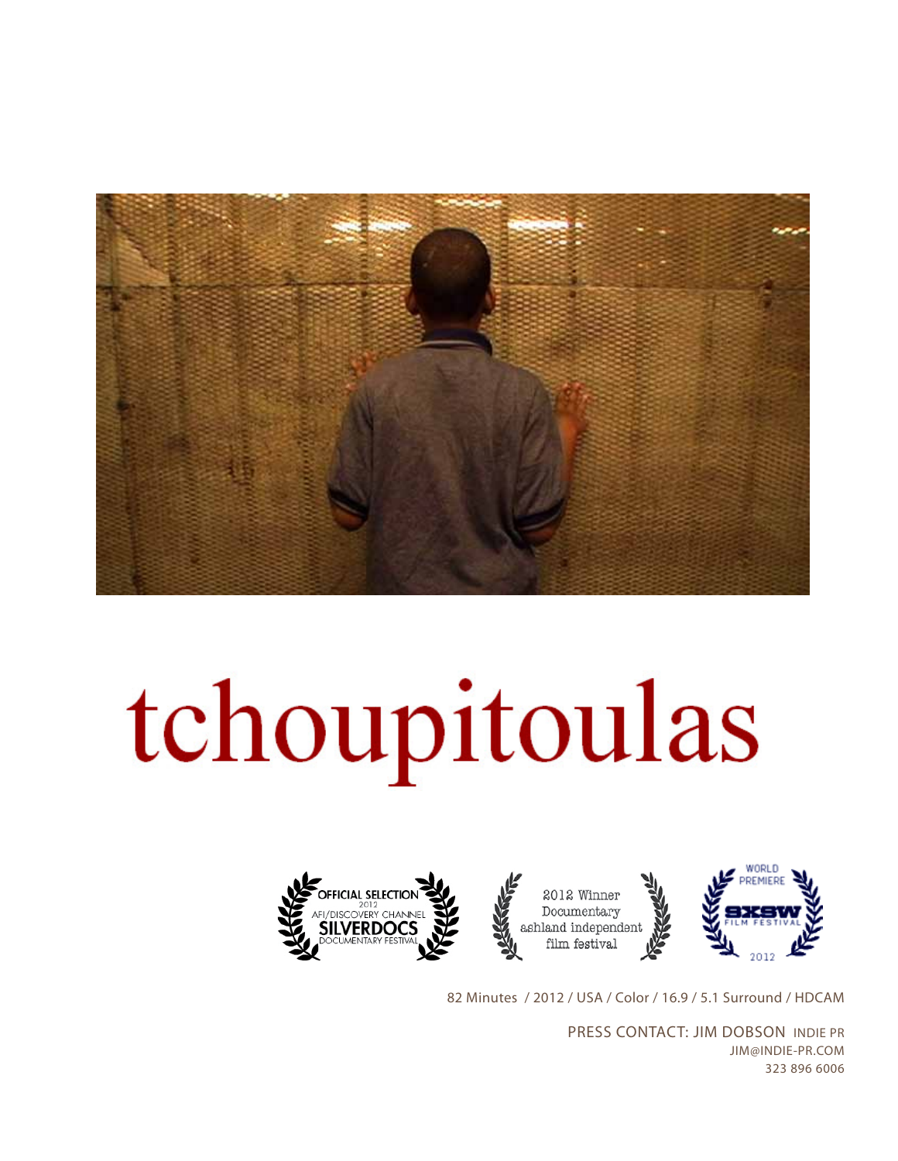

# tchoupitoulas







82 Minutes / 2012 / USA / Color / 16.9 / 5.1 Surround / HDCAM

PRESS CONTACT: JIM DOBSON INDIE PR JIM@INDIE-PR.COM 323 896 6006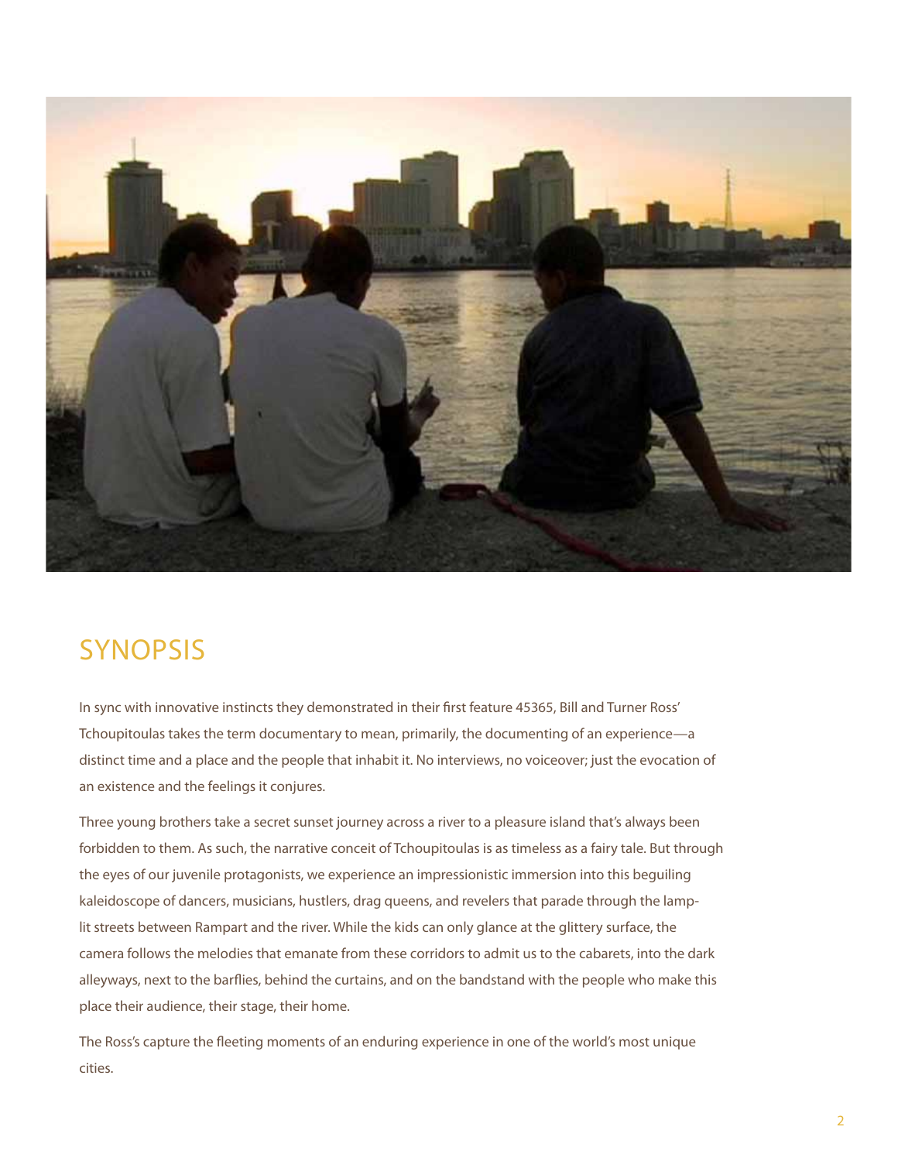

## **SYNOPSIS**

In sync with innovative instincts they demonstrated in their first feature 45365, Bill and Turner Ross' Tchoupitoulas takes the term documentary to mean, primarily, the documenting of an experience—a distinct time and a place and the people that inhabit it. No interviews, no voiceover; just the evocation of an existence and the feelings it conjures.

Three young brothers take a secret sunset journey across a river to a pleasure island that's always been forbidden to them. As such, the narrative conceit of Tchoupitoulas is as timeless as a fairy tale. But through the eyes of our juvenile protagonists, we experience an impressionistic immersion into this beguiling kaleidoscope of dancers, musicians, hustlers, drag queens, and revelers that parade through the lamplit streets between Rampart and the river. While the kids can only glance at the glittery surface, the camera follows the melodies that emanate from these corridors to admit us to the cabarets, into the dark alleyways, next to the barflies, behind the curtains, and on the bandstand with the people who make this place their audience, their stage, their home.

The Ross's capture the fleeting moments of an enduring experience in one of the world's most unique cities.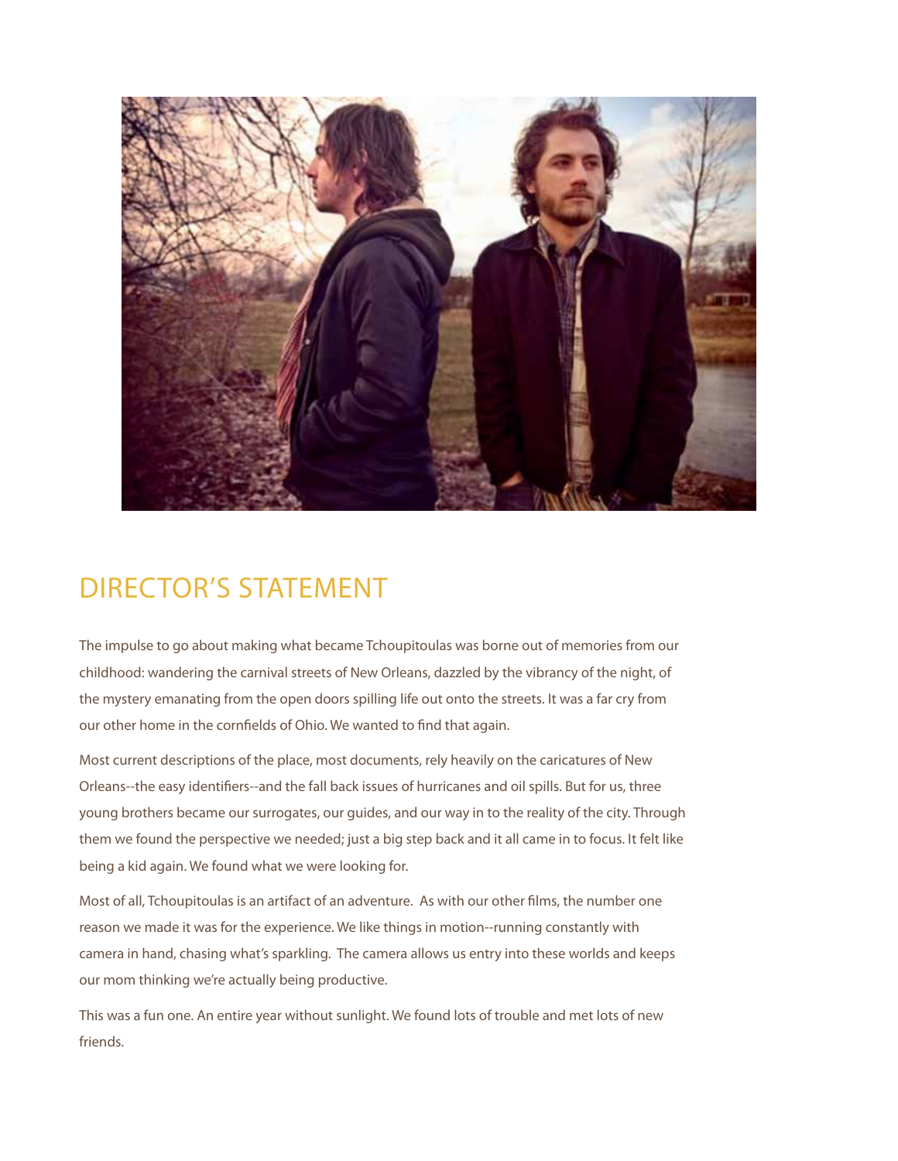

## DIRECTOR'S STATEMENT

The impulse to go about making what became Tchoupitoulas was borne out of memories from our childhood: wandering the carnival streets of New Orleans, dazzled by the vibrancy of the night, of the mystery emanating from the open doors spilling life out onto the streets. It was a far cry from our other home in the cornfields of Ohio. We wanted to find that again.

Most current descriptions of the place, most documents, rely heavily on the caricatures of New Orleans--the easy identifiers--and the fall back issues of hurricanes and oil spills. But for us, three young brothers became our surrogates, our guides, and our way in to the reality of the city. Through them we found the perspective we needed; just a big step back and it all came in to focus. It felt like being a kid again. We found what we were looking for.

Most of all, Tchoupitoulas is an artifact of an adventure. As with our other films, the number one reason we made it was for the experience. We like things in motion--running constantly with camera in hand, chasing what's sparkling. The camera allows us entry into these worlds and keeps our mom thinking we're actually being productive.

This was a fun one. An entire year without sunlight. We found lots of trouble and met lots of new friends.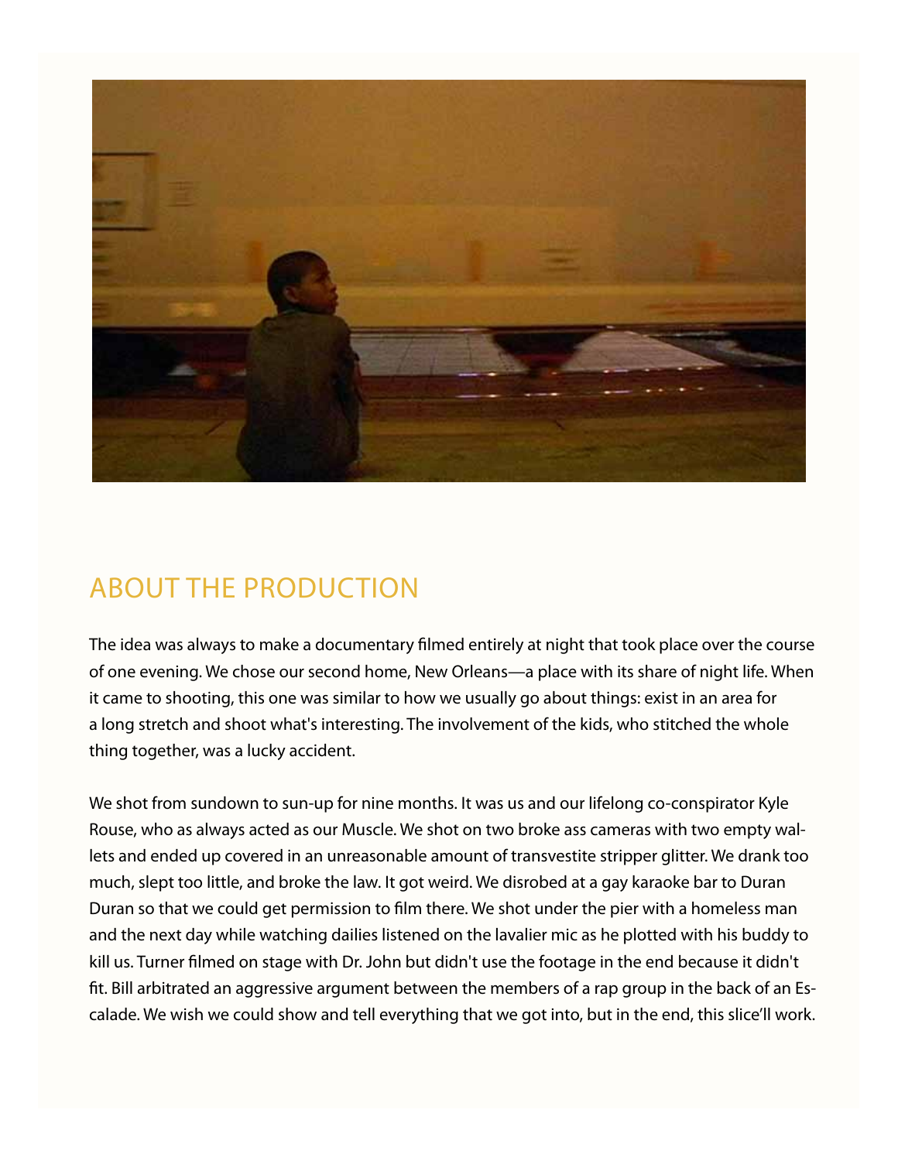

# ABOUT THE PRODUCTION

The idea was always to make a documentary filmed entirely at night that took place over the course of one evening. We chose our second home, New Orleans—a place with its share of night life. When it came to shooting, this one was similar to how we usually go about things: exist in an area for a long stretch and shoot what's interesting. The involvement of the kids, who stitched the whole thing together, was a lucky accident.

We shot from sundown to sun-up for nine months. It was us and our lifelong co-conspirator Kyle Rouse, who as always acted as our Muscle. We shot on two broke ass cameras with two empty wallets and ended up covered in an unreasonable amount of transvestite stripper glitter. We drank too much, slept too little, and broke the law. It got weird. We disrobed at a gay karaoke bar to Duran Duran so that we could get permission to film there. We shot under the pier with a homeless man and the next day while watching dailies listened on the lavalier mic as he plotted with his buddy to kill us. Turner filmed on stage with Dr. John but didn't use the footage in the end because it didn't fit. Bill arbitrated an aggressive argument between the members of a rap group in the back of an Escalade. We wish we could show and tell everything that we got into, but in the end, this slice'll work.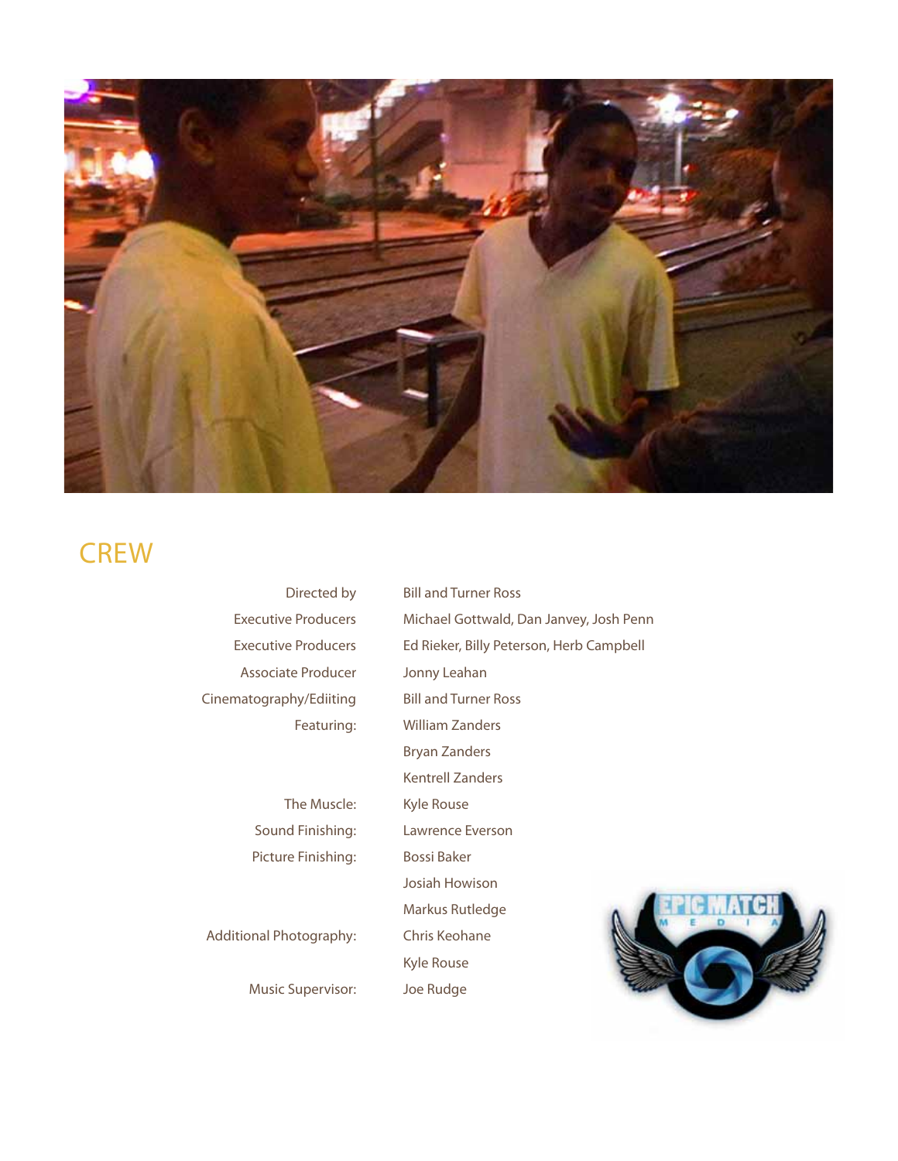

## **CREW**

| Directed by                    | <b>Bill and Turner Ross</b>              |
|--------------------------------|------------------------------------------|
| <b>Executive Producers</b>     | Michael Gottwald, Dan Janvey, Josh Penn  |
| <b>Executive Producers</b>     | Ed Rieker, Billy Peterson, Herb Campbell |
| Associate Producer             | Jonny Leahan                             |
| Cinematography/Ediiting        | <b>Bill and Turner Ross</b>              |
| Featuring:                     | <b>William Zanders</b>                   |
|                                | <b>Bryan Zanders</b>                     |
|                                | Kentrell Zanders                         |
| The Muscle:                    | Kyle Rouse                               |
| Sound Finishing:               | Lawrence Everson                         |
| Picture Finishing:             | <b>Bossi Baker</b>                       |
|                                | Josiah Howison                           |
|                                | Markus Rutledge                          |
| <b>Additional Photography:</b> | Chris Keohane                            |
|                                | Kyle Rouse                               |
| Music Supervisor:              | Joe Rudge                                |
|                                |                                          |

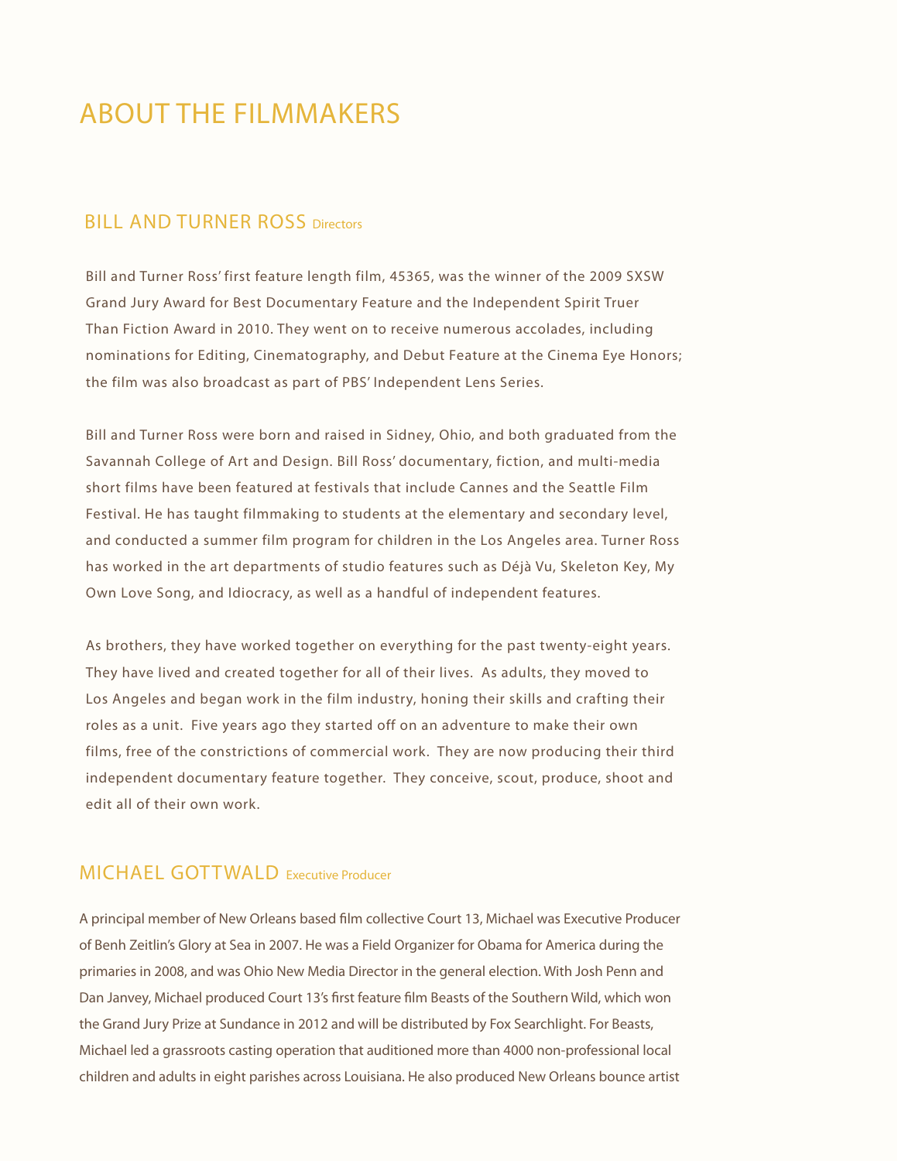## ABOUT THE FILMMAKERS

#### **BILL AND TURNER ROSS Directors**

Bill and Turner Ross' first feature length film, 45365, was the winner of the 2009 SXSW Grand Jury Award for Best Documentary Feature and the Independent Spirit Truer Than Fiction Award in 2010. They went on to receive numerous accolades, including nominations for Editing, Cinematography, and Debut Feature at the Cinema Eye Honors; the film was also broadcast as part of PBS' Independent Lens Series.

Bill and Turner Ross were born and raised in Sidney, Ohio, and both graduated from the Savannah College of Art and Design. Bill Ross' documentary, fiction, and multi-media short films have been featured at festivals that include Cannes and the Seattle Film Festival. He has taught filmmaking to students at the elementary and secondary level, and conducted a summer film program for children in the Los Angeles area. Turner Ross has worked in the art departments of studio features such as Déjà Vu, Skeleton Key, My Own Love Song, and Idiocracy, as well as a handful of independent features.

As brothers, they have worked together on everything for the past twenty-eight years. They have lived and created together for all of their lives. As adults, they moved to Los Angeles and began work in the film industry, honing their skills and crafting their roles as a unit. Five years ago they started off on an adventure to make their own films, free of the constrictions of commercial work. They are now producing their third independent documentary feature together. They conceive, scout, produce, shoot and edit all of their own work.

### MICHAEL GOTTWALD Executive Producer

A principal member of New Orleans based film collective Court 13, Michael was Executive Producer of Benh Zeitlin's Glory at Sea in 2007. He was a Field Organizer for Obama for America during the primaries in 2008, and was Ohio New Media Director in the general election. With Josh Penn and Dan Janvey, Michael produced Court 13's first feature film Beasts of the Southern Wild, which won the Grand Jury Prize at Sundance in 2012 and will be distributed by Fox Searchlight. For Beasts, Michael led a grassroots casting operation that auditioned more than 4000 non-professional local children and adults in eight parishes across Louisiana. He also produced New Orleans bounce artist